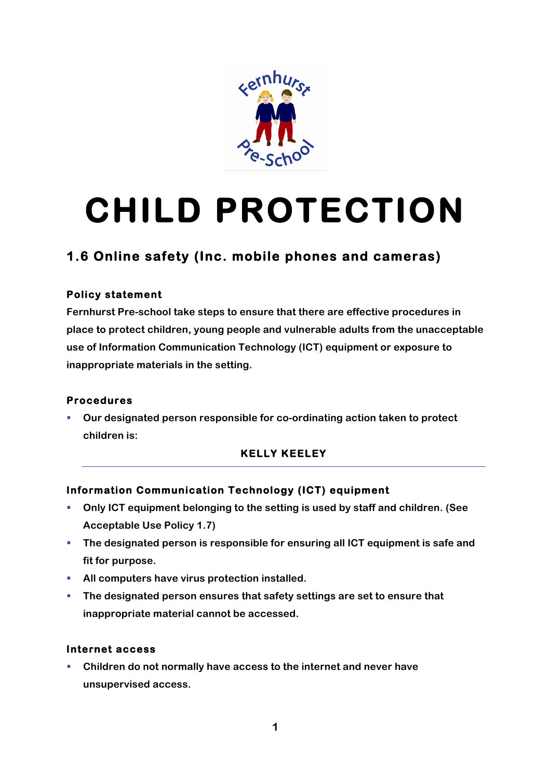

# **CHILD PROTECTION**

## **1.6 Online safety (Inc. mobile phones and cameras)**

#### **Policy statement**

**Fernhurst Pre-school take steps to ensure that there are effective procedures in place to protect children, young people and vulnerable adults from the unacceptable use of Information Communication Technology (ICT) equipment or exposure to inappropriate materials in the setting.** 

#### **Procedures**

§ **Our designated person responsible for co-ordinating action taken to protect children is:**

### **KELLY KEELEY**

#### **Information Communication Technology (ICT) equipment**

- § **Only ICT equipment belonging to the setting is used by staff and children. (See Acceptable Use Policy 1.7)**
- § **The designated person is responsible for ensuring all ICT equipment is safe and fit for purpose.**
- **EXECUTE:** All computers have virus protection installed.
- § **The designated person ensures that safety settings are set to ensure that inappropriate material cannot be accessed.**

#### **Internet access**

§ **Children do not normally have access to the internet and never have unsupervised access.**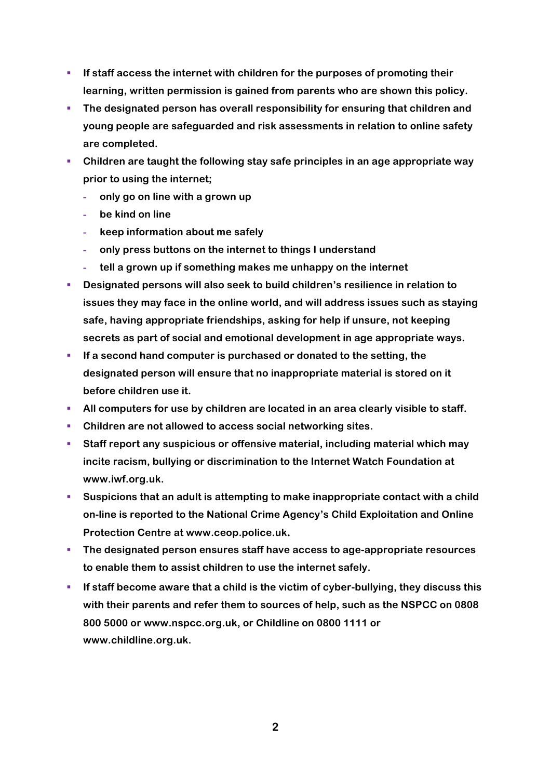- § **If staff access the internet with children for the purposes of promoting their learning, written permission is gained from parents who are shown this policy.**
- § **The designated person has overall responsibility for ensuring that children and young people are safeguarded and risk assessments in relation to online safety are completed.**
- § **Children are taught the following stay safe principles in an age appropriate way prior to using the internet;** 
	- **- only go on line with a grown up**
	- **- be kind on line**
	- **- keep information about me safely**
	- **- only press buttons on the internet to things I understand**
	- **- tell a grown up if something makes me unhappy on the internet**
- § **Designated persons will also seek to build children's resilience in relation to issues they may face in the online world, and will address issues such as staying safe, having appropriate friendships, asking for help if unsure, not keeping secrets as part of social and emotional development in age appropriate ways.**
- § **If a second hand computer is purchased or donated to the setting, the designated person will ensure that no inappropriate material is stored on it before children use it.**
- **EXTED All computers for use by children are located in an area clearly visible to staff.**
- § **Children are not allowed to access social networking sites.**
- § **Staff report any suspicious or offensive material, including material which may incite racism, bullying or discrimination to the Internet Watch Foundation at www.iwf.org.uk.**
- § **Suspicions that an adult is attempting to make inappropriate contact with a child on-line is reported to the National Crime Agency's Child Exploitation and Online Protection Centre at www.ceop.police.uk.**
- § **The designated person ensures staff have access to age-appropriate resources to enable them to assist children to use the internet safely.**
- **EXECTE If staff become aware that a child is the victim of cyber-bullying, they discuss this with their parents and refer them to sources of help, such as the NSPCC on 0808 800 5000 or www.nspcc.org.uk, or Childline on 0800 1111 or www.childline.org.uk.**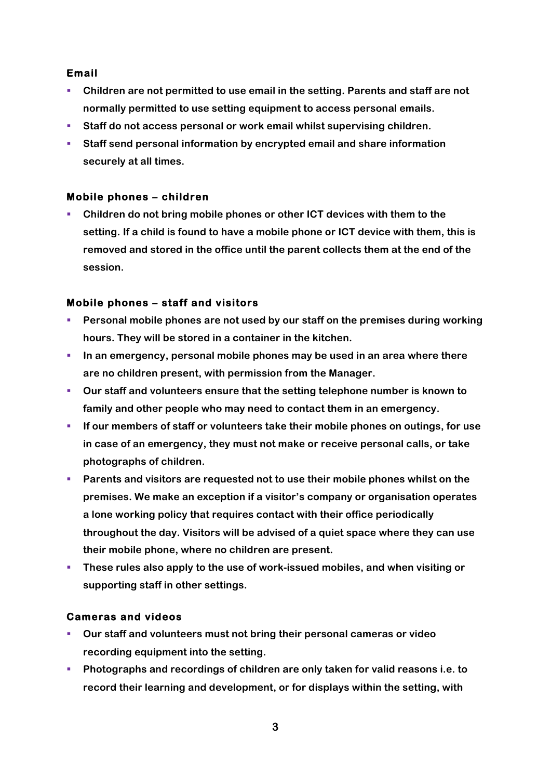#### **Email**

- § **Children are not permitted to use email in the setting. Parents and staff are not normally permitted to use setting equipment to access personal emails.**
- § **Staff do not access personal or work email whilst supervising children.**
- § **Staff send personal information by encrypted email and share information securely at all times.**

#### **Mobile phones – children**

§ **Children do not bring mobile phones or other ICT devices with them to the setting. If a child is found to have a mobile phone or ICT device with them, this is removed and stored in the office until the parent collects them at the end of the session.**

#### **Mobile phones – staff and visitors**

- § **Personal mobile phones are not used by our staff on the premises during working hours. They will be stored in a container in the kitchen.**
- **In an emergency, personal mobile phones may be used in an area where there are no children present, with permission from the Manager.**
- § **Our staff and volunteers ensure that the setting telephone number is known to family and other people who may need to contact them in an emergency.**
- § **If our members of staff or volunteers take their mobile phones on outings, for use in case of an emergency, they must not make or receive personal calls, or take photographs of children.**
- **•** Parents and visitors are requested not to use their mobile phones whilst on the **premises. We make an exception if a visitor's company or organisation operates a lone working policy that requires contact with their office periodically throughout the day. Visitors will be advised of a quiet space where they can use their mobile phone, where no children are present.**
- **EXPLED THESE THES ALSO APPLY TO THE USE OF WORK-ISSUED MODILES, and when visiting or supporting staff in other settings.**

#### **Cameras and videos**

- § **Our staff and volunteers must not bring their personal cameras or video recording equipment into the setting.**
- § **Photographs and recordings of children are only taken for valid reasons i.e. to record their learning and development, or for displays within the setting, with**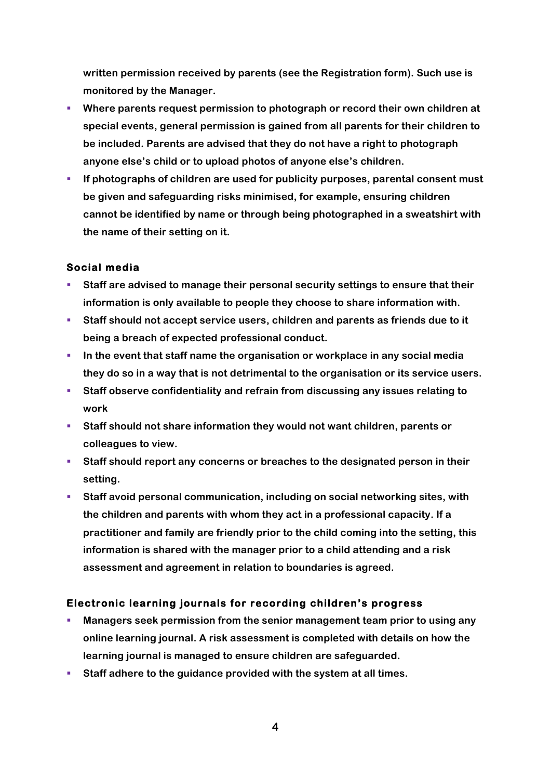**written permission received by parents (see the Registration form). Such use is monitored by the Manager.**

- § **Where parents request permission to photograph or record their own children at special events, general permission is gained from all parents for their children to be included. Parents are advised that they do not have a right to photograph anyone else's child or to upload photos of anyone else's children.**
- § **If photographs of children are used for publicity purposes, parental consent must be given and safeguarding risks minimised, for example, ensuring children cannot be identified by name or through being photographed in a sweatshirt with the name of their setting on it.**

#### **Social media**

- Staff are advised to manage their personal security settings to ensure that their **information is only available to people they choose to share information with.**
- Staff should not accept service users, children and parents as friends due to it **being a breach of expected professional conduct.**
- **In the event that staff name the organisation or workplace in any social media they do so in a way that is not detrimental to the organisation or its service users.**
- Staff observe confidentiality and refrain from discussing any issues relating to **work**
- § **Staff should not share information they would not want children, parents or colleagues to view.**
- § **Staff should report any concerns or breaches to the designated person in their setting.**
- § **Staff avoid personal communication, including on social networking sites, with the children and parents with whom they act in a professional capacity. If a practitioner and family are friendly prior to the child coming into the setting, this information is shared with the manager prior to a child attending and a risk assessment and agreement in relation to boundaries is agreed.**

#### **Electronic learning journals for recording children's progress**

- § **Managers seek permission from the senior management team prior to using any online learning journal. A risk assessment is completed with details on how the learning journal is managed to ensure children are safeguarded.**
- Staff adhere to the guidance provided with the system at all times.